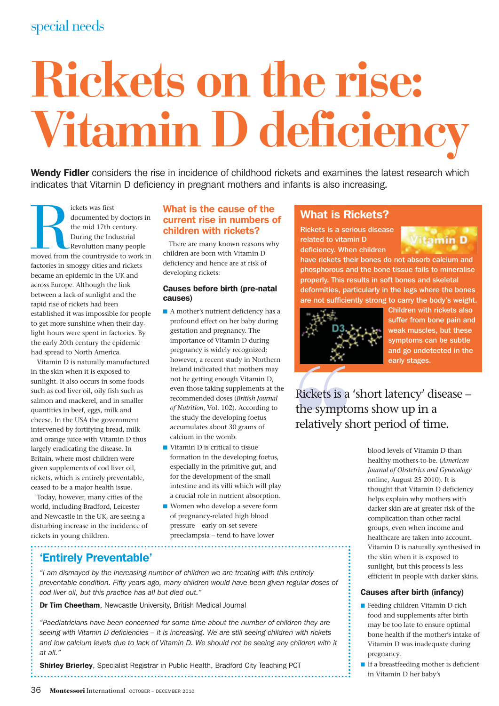# special needs

# **Rickets on the rise: Vitamin D deficiency**

Wendy Fidler considers the rise in incidence of childhood rickets and examines the latest research which indicates that Vitamin D deficiency in pregnant mothers and infants is also increasing.

Ickets was first<br>documented by doctors in<br>the mid 17th century.<br>During the Industrial<br>Revolution many people<br>moved from the countryside to work in<br>the same dislots. documented by doctors in the mid 17th century. During the Industrial Revolution many people factories in smoggy cities and rickets became an epidemic in the UK and across Europe. Although the link between a lack of sunlight and the rapid rise of rickets had been established it was impossible for people to get more sunshine when their daylight hours were spent in factories. By the early 20th century the epidemic had spread to North America.

Vitamin D is naturally manufactured in the skin when it is exposed to sunlight. It also occurs in some foods such as cod liver oil, oily fish such as salmon and mackerel, and in smaller quantities in beef, eggs, milk and cheese. In the USA the government intervened by fortifying bread, milk and orange juice with Vitamin D thus largely eradicating the disease. In Britain, where most children were given supplements of cod liver oil, rickets, which is entirely preventable, ceased to be a major health issue.

Today, however, many cities of the world, including Bradford, Leicester and Newcastle in the UK, are seeing a disturbing increase in the incidence of rickets in young children.

#### What is the cause of the current rise in numbers of children with rickets?

There are many known reasons why children are born with Vitamin D deficiency and hence are at risk of developing rickets:

#### Causes before birth (pre-natal causes)

- A mother's nutrient deficiency has a profound effect on her baby during gestation and pregnancy. The importance of Vitamin D during pregnancy is widely recognized; however, a recent study in Northern Ireland indicated that mothers may not be getting enough Vitamin D, even those taking supplements at the recommended doses (*British Journal of Nutrition*, Vol. 102). According to the study the developing foetus accumulates about 30 grams of calcium in the womb.
- Vitamin D is critical to tissue formation in the developing foetus, especially in the primitive gut, and for the development of the small intestine and its villi which will play a crucial role in nutrient absorption.
- Women who develop a severe form of pregnancy-related high blood pressure – early on-set severe preeclampsia – tend to have lower

# What is Rickets?

Rickets is a serious disease related to vitamin D deficiency. When children



have rickets their bones do not absorb calcium and phosphorous and the bone tissue fails to mineralise properly. This results in soft bones and skeletal deformities, particularly in the legs where the bones are not sufficiently strong to carry the body's weight.



Children with rickets also suffer from bone pain and weak muscles, but these symptoms can be subtle and go undetected in the early stages.

**Rickets is a 'short latency' disease –<br>the symptoms show up in a<br>relatively short period of time.<br>blood levels of Vitamin D than<br>healthy mothers-to-be. (American<br>Journal of Obstetrics and Gynecology<br>online, August 25 2010** the symptoms show up in a relatively short period of time.

blood levels of Vitamin D than healthy mothers-to-be. (*American Journal of Obstetrics and Gynecology* online, August 25 2010). It is thought that Vitamin D deficiency helps explain why mothers with darker skin are at greater risk of the complication than other racial groups, even when income and healthcare are taken into account. Vitamin D is naturally synthesised in the skin when it is exposed to sunlight, but this process is less efficient in people with darker skins.

#### Causes after birth (infancy)

- Feeding children Vitamin D-rich food and supplements after birth may be too late to ensure optimal bone health if the mother's intake of Vitamin D was inadequate during pregnancy.
- If a breastfeeding mother is deficient in Vitamin D her baby's

# 'Entirely Preventable'

*"I am dismayed by the increasing number of children we are treating with this entirely preventable condition. Fifty years ago, many children would have been given regular doses of cod liver oil, but this practice has all but died out."*

Dr Tim Cheetham, Newcastle University, British Medical Journal

*"Paediatricians have been concerned for some time about the number of children they are seeing with Vitamin D deficiencies – it is increasing. We are still seeing children with rickets and low calcium levels due to lack of Vitamin D. We should not be seeing any children with it at all."*

Shirley Brierley, Specialist Registrar in Public Health, Bradford City Teaching PCT